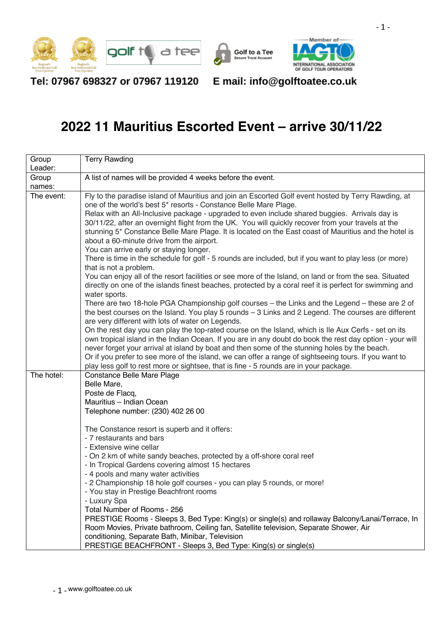





Tel: 07967 698327 or 07967 119120

E mail: info@golftoatee.co.uk

## **2022 11 Mauritius Escorted Event – arrive 30/11/22**

| Group      | <b>Terry Rawding</b>                                                                                                                                                                                                                                                                                                                                                                                                                                                                                                                                                                                                                                                                                                                                                                                                                                                                                                                                                                                                                                                                                                                                                                                                                                                                                                                                                                                                                                                                                                                            |  |  |  |  |
|------------|-------------------------------------------------------------------------------------------------------------------------------------------------------------------------------------------------------------------------------------------------------------------------------------------------------------------------------------------------------------------------------------------------------------------------------------------------------------------------------------------------------------------------------------------------------------------------------------------------------------------------------------------------------------------------------------------------------------------------------------------------------------------------------------------------------------------------------------------------------------------------------------------------------------------------------------------------------------------------------------------------------------------------------------------------------------------------------------------------------------------------------------------------------------------------------------------------------------------------------------------------------------------------------------------------------------------------------------------------------------------------------------------------------------------------------------------------------------------------------------------------------------------------------------------------|--|--|--|--|
| Leader:    |                                                                                                                                                                                                                                                                                                                                                                                                                                                                                                                                                                                                                                                                                                                                                                                                                                                                                                                                                                                                                                                                                                                                                                                                                                                                                                                                                                                                                                                                                                                                                 |  |  |  |  |
| Group      | A list of names will be provided 4 weeks before the event.                                                                                                                                                                                                                                                                                                                                                                                                                                                                                                                                                                                                                                                                                                                                                                                                                                                                                                                                                                                                                                                                                                                                                                                                                                                                                                                                                                                                                                                                                      |  |  |  |  |
| names:     |                                                                                                                                                                                                                                                                                                                                                                                                                                                                                                                                                                                                                                                                                                                                                                                                                                                                                                                                                                                                                                                                                                                                                                                                                                                                                                                                                                                                                                                                                                                                                 |  |  |  |  |
| The event: | Fly to the paradise island of Mauritius and join an Escorted Golf event hosted by Terry Rawding, at<br>one of the world's best 5* resorts - Constance Belle Mare Plage.<br>Relax with an All-Inclusive package - upgraded to even include shared buggies. Arrivals day is<br>30/11/22, after an overnight flight from the UK. You will quickly recover from your travels at the<br>stunning 5* Constance Belle Mare Plage. It is located on the East coast of Mauritius and the hotel is<br>about a 60-minute drive from the airport.<br>You can arrive early or staying longer.<br>There is time in the schedule for golf - 5 rounds are included, but if you want to play less (or more)<br>that is not a problem.<br>You can enjoy all of the resort facilities or see more of the Island, on land or from the sea. Situated<br>directly on one of the islands finest beaches, protected by a coral reef it is perfect for swimming and<br>water sports.<br>There are two 18-hole PGA Championship golf courses - the Links and the Legend - these are 2 of<br>the best courses on the Island. You play 5 rounds - 3 Links and 2 Legend. The courses are different<br>are very different with lots of water on Legends.<br>On the rest day you can play the top-rated course on the Island, which is Ile Aux Cerfs - set on its<br>own tropical island in the Indian Ocean. If you are in any doubt do book the rest day option - your will<br>never forget your arrival at island by boat and then some of the stunning holes by the beach. |  |  |  |  |
|            | Or if you prefer to see more of the island, we can offer a range of sightseeing tours. If you want to                                                                                                                                                                                                                                                                                                                                                                                                                                                                                                                                                                                                                                                                                                                                                                                                                                                                                                                                                                                                                                                                                                                                                                                                                                                                                                                                                                                                                                           |  |  |  |  |
|            | play less golf to rest more or sightsee, that is fine - 5 rounds are in your package.                                                                                                                                                                                                                                                                                                                                                                                                                                                                                                                                                                                                                                                                                                                                                                                                                                                                                                                                                                                                                                                                                                                                                                                                                                                                                                                                                                                                                                                           |  |  |  |  |
| The hotel: | Constance Belle Mare Plage<br>Belle Mare,<br>Poste de Flacq,<br>Mauritius - Indian Ocean<br>Telephone number: (230) 402 26 00                                                                                                                                                                                                                                                                                                                                                                                                                                                                                                                                                                                                                                                                                                                                                                                                                                                                                                                                                                                                                                                                                                                                                                                                                                                                                                                                                                                                                   |  |  |  |  |
|            | The Constance resort is superb and it offers:                                                                                                                                                                                                                                                                                                                                                                                                                                                                                                                                                                                                                                                                                                                                                                                                                                                                                                                                                                                                                                                                                                                                                                                                                                                                                                                                                                                                                                                                                                   |  |  |  |  |
|            | - 7 restaurants and bars<br>- Extensive wine cellar                                                                                                                                                                                                                                                                                                                                                                                                                                                                                                                                                                                                                                                                                                                                                                                                                                                                                                                                                                                                                                                                                                                                                                                                                                                                                                                                                                                                                                                                                             |  |  |  |  |
|            | - On 2 km of white sandy beaches, protected by a off-shore coral reef<br>- In Tropical Gardens covering almost 15 hectares<br>- 4 pools and many water activities<br>- 2 Championship 18 hole golf courses - you can play 5 rounds, or more!<br>- You stay in Prestige Beachfront rooms<br>- Luxury Spa<br>Total Number of Rooms - 256                                                                                                                                                                                                                                                                                                                                                                                                                                                                                                                                                                                                                                                                                                                                                                                                                                                                                                                                                                                                                                                                                                                                                                                                          |  |  |  |  |
|            | PRESTIGE Rooms - Sleeps 3, Bed Type: King(s) or single(s) and rollaway Balcony/Lanai/Terrace, In<br>Room Movies, Private bathroom, Ceiling fan, Satellite television, Separate Shower, Air<br>conditioning, Separate Bath, Minibar, Television<br>PRESTIGE BEACHFRONT - Sleeps 3, Bed Type: King(s) or single(s)                                                                                                                                                                                                                                                                                                                                                                                                                                                                                                                                                                                                                                                                                                                                                                                                                                                                                                                                                                                                                                                                                                                                                                                                                                |  |  |  |  |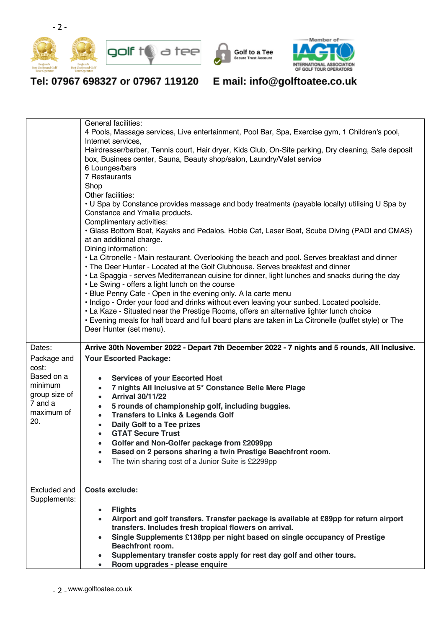





Tel: 07967 698327 or 07967 119120

E mail: info@golftoatee.co.uk

|               | General facilities:                                                                                                                                                              |  |  |  |  |
|---------------|----------------------------------------------------------------------------------------------------------------------------------------------------------------------------------|--|--|--|--|
|               | 4 Pools, Massage services, Live entertainment, Pool Bar, Spa, Exercise gym, 1 Children's pool,                                                                                   |  |  |  |  |
|               | Internet services,                                                                                                                                                               |  |  |  |  |
|               | Hairdresser/barber, Tennis court, Hair dryer, Kids Club, On-Site parking, Dry cleaning, Safe deposit                                                                             |  |  |  |  |
|               | box, Business center, Sauna, Beauty shop/salon, Laundry/Valet service                                                                                                            |  |  |  |  |
|               | 6 Lounges/bars<br>7 Restaurants                                                                                                                                                  |  |  |  |  |
|               | Shop                                                                                                                                                                             |  |  |  |  |
|               | Other facilities:                                                                                                                                                                |  |  |  |  |
|               | • U Spa by Constance provides massage and body treatments (payable locally) utilising U Spa by                                                                                   |  |  |  |  |
|               | Constance and Ymalia products.                                                                                                                                                   |  |  |  |  |
|               | Complimentary activities:                                                                                                                                                        |  |  |  |  |
|               | • Glass Bottom Boat, Kayaks and Pedalos. Hobie Cat, Laser Boat, Scuba Diving (PADI and CMAS)                                                                                     |  |  |  |  |
|               | at an additional charge.                                                                                                                                                         |  |  |  |  |
|               | Dining information:                                                                                                                                                              |  |  |  |  |
|               | • La Citronelle - Main restaurant. Overlooking the beach and pool. Serves breakfast and dinner<br>• The Deer Hunter - Located at the Golf Clubhouse. Serves breakfast and dinner |  |  |  |  |
|               | • La Spaggia - serves Mediterranean cuisine for dinner, light lunches and snacks during the day                                                                                  |  |  |  |  |
|               | • Le Swing - offers a light lunch on the course                                                                                                                                  |  |  |  |  |
|               | • Blue Penny Cafe - Open in the evening only. A la carte menu                                                                                                                    |  |  |  |  |
|               | · Indigo - Order your food and drinks without even leaving your sunbed. Located poolside.                                                                                        |  |  |  |  |
|               | • La Kaze - Situated near the Prestige Rooms, offers an alternative lighter lunch choice                                                                                         |  |  |  |  |
|               | • Evening meals for half board and full board plans are taken in La Citronelle (buffet style) or The                                                                             |  |  |  |  |
|               | Deer Hunter (set menu).                                                                                                                                                          |  |  |  |  |
|               |                                                                                                                                                                                  |  |  |  |  |
| Dates:        | Arrive 30th November 2022 - Depart 7th December 2022 - 7 nights and 5 rounds, All Inclusive.                                                                                     |  |  |  |  |
|               |                                                                                                                                                                                  |  |  |  |  |
| Package and   | <b>Your Escorted Package:</b>                                                                                                                                                    |  |  |  |  |
| cost:         |                                                                                                                                                                                  |  |  |  |  |
| Based on a    | <b>Services of your Escorted Host</b>                                                                                                                                            |  |  |  |  |
| minimum       | 7 nights All Inclusive at 5* Constance Belle Mere Plage<br>$\bullet$                                                                                                             |  |  |  |  |
| group size of | <b>Arrival 30/11/22</b><br>$\bullet$                                                                                                                                             |  |  |  |  |
| 7 and a       | 5 rounds of championship golf, including buggies.<br>$\bullet$                                                                                                                   |  |  |  |  |
| maximum of    | <b>Transfers to Links &amp; Legends Golf</b><br>$\bullet$                                                                                                                        |  |  |  |  |
| 20.           | Daily Golf to a Tee prizes<br>$\bullet$                                                                                                                                          |  |  |  |  |
|               | <b>GTAT Secure Trust</b><br>$\bullet$                                                                                                                                            |  |  |  |  |
|               | Golfer and Non-Golfer package from £2099pp                                                                                                                                       |  |  |  |  |
|               | Based on 2 persons sharing a twin Prestige Beachfront room.                                                                                                                      |  |  |  |  |
|               | The twin sharing cost of a Junior Suite is £2299pp                                                                                                                               |  |  |  |  |
|               |                                                                                                                                                                                  |  |  |  |  |
|               |                                                                                                                                                                                  |  |  |  |  |
| Excluded and  | <b>Costs exclude:</b>                                                                                                                                                            |  |  |  |  |
| Supplements:  |                                                                                                                                                                                  |  |  |  |  |
|               | <b>Flights</b>                                                                                                                                                                   |  |  |  |  |
|               | Airport and golf transfers. Transfer package is available at £89pp for return airport<br>transfers. Includes fresh tropical flowers on arrival.                                  |  |  |  |  |
|               | Single Supplements £138pp per night based on single occupancy of Prestige                                                                                                        |  |  |  |  |
|               | <b>Beachfront room.</b>                                                                                                                                                          |  |  |  |  |
|               | Supplementary transfer costs apply for rest day golf and other tours.<br>Room upgrades - please enquire                                                                          |  |  |  |  |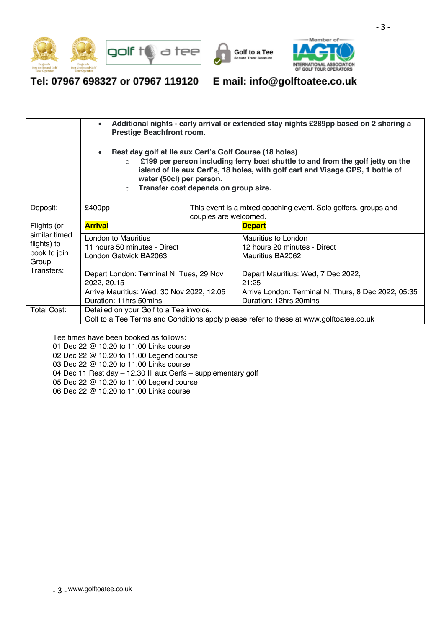





Tel: 07967 698327 or 07967 119120 E mail: info@golftoatee.co.uk

|                                             | Additional nights - early arrival or extended stay nights £289pp based on 2 sharing a<br><b>Prestige Beachfront room.</b><br>Rest day golf at Ile aux Cerf's Golf Course (18 holes)<br>£199 per person including ferry boat shuttle to and from the golf jetty on the<br>$\circ$<br>island of Ile aux Cerf's, 18 holes, with golf cart and Visage GPS, 1 bottle of<br>water (50cl) per person.<br>Transfer cost depends on group size.<br>$\circ$ |  |                                                                |  |
|---------------------------------------------|---------------------------------------------------------------------------------------------------------------------------------------------------------------------------------------------------------------------------------------------------------------------------------------------------------------------------------------------------------------------------------------------------------------------------------------------------|--|----------------------------------------------------------------|--|
| Deposit:                                    | £400 <sub>pp</sub>                                                                                                                                                                                                                                                                                                                                                                                                                                |  | This event is a mixed coaching event. Solo golfers, groups and |  |
|                                             | couples are welcomed.                                                                                                                                                                                                                                                                                                                                                                                                                             |  |                                                                |  |
| Flights (or<br>similar timed<br>flights) to | <b>Arrival</b>                                                                                                                                                                                                                                                                                                                                                                                                                                    |  | <b>Depart</b>                                                  |  |
|                                             | <b>London to Mauritius</b>                                                                                                                                                                                                                                                                                                                                                                                                                        |  | Mauritius to London                                            |  |
|                                             | 11 hours 50 minutes - Direct                                                                                                                                                                                                                                                                                                                                                                                                                      |  | 12 hours 20 minutes - Direct                                   |  |
| book to join                                | London Gatwick BA2063                                                                                                                                                                                                                                                                                                                                                                                                                             |  | Mauritius BA2062                                               |  |
| Group                                       |                                                                                                                                                                                                                                                                                                                                                                                                                                                   |  |                                                                |  |
| Transfers:                                  | Depart London: Terminal N, Tues, 29 Nov                                                                                                                                                                                                                                                                                                                                                                                                           |  | Depart Mauritius: Wed, 7 Dec 2022,                             |  |
|                                             | 2022, 20.15                                                                                                                                                                                                                                                                                                                                                                                                                                       |  | 21:25                                                          |  |
|                                             | Arrive Mauritius: Wed, 30 Nov 2022, 12.05                                                                                                                                                                                                                                                                                                                                                                                                         |  | Arrive London: Terminal N, Thurs, 8 Dec 2022, 05:35            |  |
|                                             | Duration: 11hrs 50mins                                                                                                                                                                                                                                                                                                                                                                                                                            |  | Duration: 12hrs 20mins                                         |  |
| Total Cost:                                 | Detailed on your Golf to a Tee invoice.                                                                                                                                                                                                                                                                                                                                                                                                           |  |                                                                |  |
|                                             | Golf to a Tee Terms and Conditions apply please refer to these at www.golftoatee.co.uk                                                                                                                                                                                                                                                                                                                                                            |  |                                                                |  |

Tee times have been booked as follows:

01 Dec 22 @ 10.20 to 11.00 Links course

02 Dec 22 @ 10.20 to 11.00 Legend course

03 Dec 22 @ 10.20 to 11.00 Links course

04 Dec 11 Rest day – 12.30 Ill aux Cerfs – supplementary golf

- 05 Dec 22 @ 10.20 to 11.00 Legend course
- 06 Dec 22 @ 10.20 to 11.00 Links course